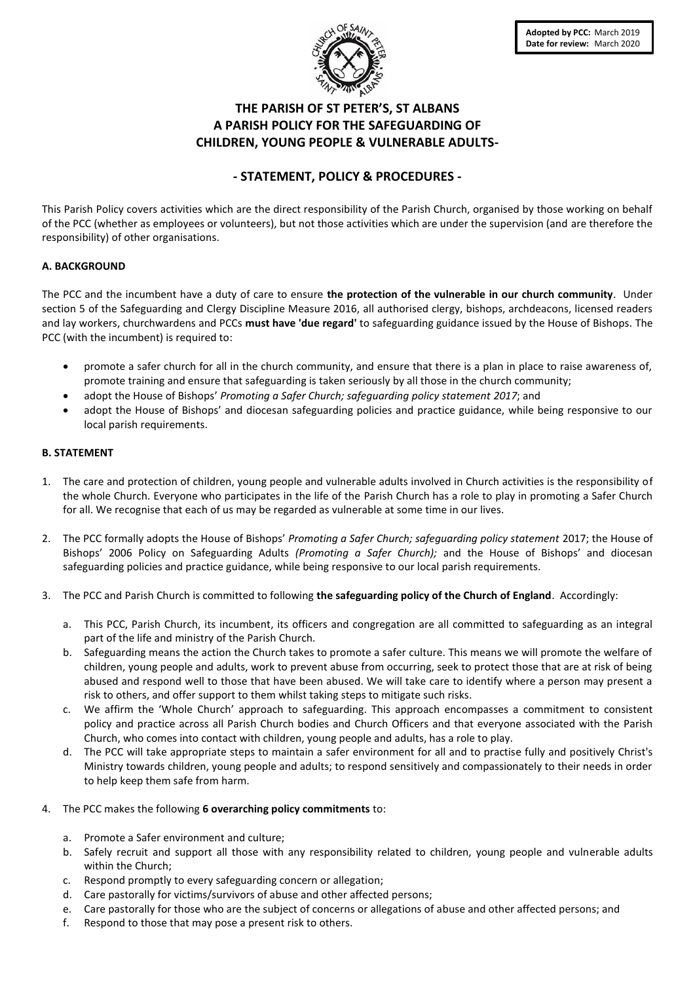

# **THE PARISH OF ST PETER'S, ST ALBANS A PARISH POLICY FOR THE SAFEGUARDING OF CHILDREN, YOUNG PEOPLE & VULNERABLE ADULTS-**

# **- STATEMENT, POLICY & PROCEDURES -**

This Parish Policy covers activities which are the direct responsibility of the Parish Church, organised by those working on behalf of the PCC (whether as employees or volunteers), but not those activities which are under the supervision (and are therefore the responsibility) of other organisations.

# **A. BACKGROUND**

The PCC and the incumbent have a duty of care to ensure **the protection of the vulnerable in our church community**. Under section 5 of the Safeguarding and Clergy Discipline Measure 2016, all authorised clergy, bishops, archdeacons, licensed readers and lay workers, churchwardens and PCCs **must have 'due regard'** to safeguarding guidance issued by the House of Bishops. The PCC (with the incumbent) is required to:

- promote a safer church for all in the church community, and ensure that there is a plan in place to raise awareness of, promote training and ensure that safeguarding is taken seriously by all those in the church community;
- adopt the House of Bishops' *Promoting a Safer Church; safeguarding policy statement 2017*; and
- adopt the House of Bishops' and diocesan safeguarding policies and practice guidance, while being responsive to our local parish requirements.

## **B. STATEMENT**

- 1. The care and protection of children, young people and vulnerable adults involved in Church activities is the responsibility of the whole Church. Everyone who participates in the life of the Parish Church has a role to play in promoting a Safer Church for all. We recognise that each of us may be regarded as vulnerable at some time in our lives.
- 2. The PCC formally adopts the House of Bishops' *Promoting a Safer Church; safeguarding policy statement* 2017; the House of Bishops' 2006 Policy on Safeguarding Adults *(Promoting a Safer Church);* and the House of Bishops' and diocesan safeguarding policies and practice guidance, while being responsive to our local parish requirements.
- 3. The PCC and Parish Church is committed to following **the safeguarding policy of the Church of England**. Accordingly:
	- a. This PCC, Parish Church, its incumbent, its officers and congregation are all committed to safeguarding as an integral part of the life and ministry of the Parish Church.
	- b. Safeguarding means the action the Church takes to promote a safer culture. This means we will promote the welfare of children, young people and adults, work to prevent abuse from occurring, seek to protect those that are at risk of being abused and respond well to those that have been abused. We will take care to identify where a person may present a risk to others, and offer support to them whilst taking steps to mitigate such risks.
	- c. We affirm the 'Whole Church' approach to safeguarding. This approach encompasses a commitment to consistent policy and practice across all Parish Church bodies and Church Officers and that everyone associated with the Parish Church, who comes into contact with children, young people and adults, has a role to play.
	- d. The PCC will take appropriate steps to maintain a safer environment for all and to practise fully and positively Christ's Ministry towards children, young people and adults; to respond sensitively and compassionately to their needs in order to help keep them safe from harm.
- 4. The PCC makes the following **6 overarching policy commitments** to:
	- a. Promote a Safer environment and culture;
	- b. Safely recruit and support all those with any responsibility related to children, young people and vulnerable adults within the Church;
	- c. Respond promptly to every safeguarding concern or allegation;
	- d. Care pastorally for victims/survivors of abuse and other affected persons;
	- e. Care pastorally for those who are the subject of concerns or allegations of abuse and other affected persons; and
	- f. Respond to those that may pose a present risk to others.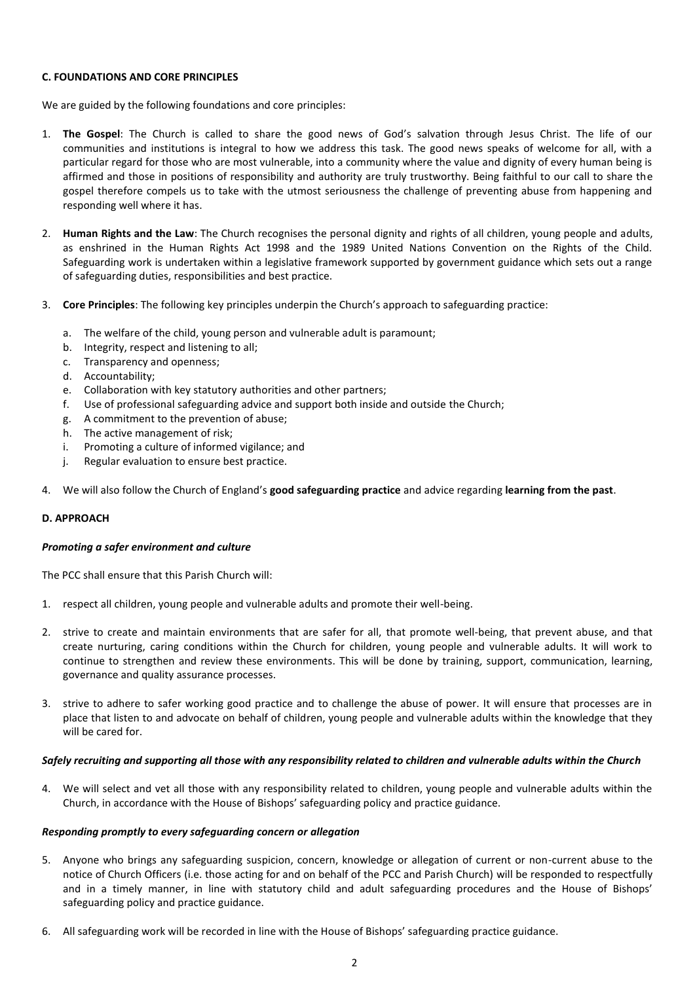# **C. FOUNDATIONS AND CORE PRINCIPLES**

We are guided by the following foundations and core principles:

- 1. **The Gospel**: The Church is called to share the good news of God's salvation through Jesus Christ. The life of our communities and institutions is integral to how we address this task. The good news speaks of welcome for all, with a particular regard for those who are most vulnerable, into a community where the value and dignity of every human being is affirmed and those in positions of responsibility and authority are truly trustworthy. Being faithful to our call to share the gospel therefore compels us to take with the utmost seriousness the challenge of preventing abuse from happening and responding well where it has.
- 2. **Human Rights and the Law**: The Church recognises the personal dignity and rights of all children, young people and adults, as enshrined in the Human Rights Act 1998 and the 1989 United Nations Convention on the Rights of the Child. Safeguarding work is undertaken within a legislative framework supported by government guidance which sets out a range of safeguarding duties, responsibilities and best practice.
- 3. **Core Principles**: The following key principles underpin the Church's approach to safeguarding practice:
	- a. The welfare of the child, young person and vulnerable adult is paramount;
	- b. Integrity, respect and listening to all;
	- c. Transparency and openness;
	- d. Accountability;
	- e. Collaboration with key statutory authorities and other partners;
	- f. Use of professional safeguarding advice and support both inside and outside the Church;
	- g. A commitment to the prevention of abuse;
	- h. The active management of risk;
	- i. Promoting a culture of informed vigilance; and
	- j. Regular evaluation to ensure best practice.
- 4. We will also follow the Church of England's **good safeguarding practice** and advice regarding **learning from the past**.

## **D. APPROACH**

## *Promoting a safer environment and culture*

The PCC shall ensure that this Parish Church will:

- 1. respect all children, young people and vulnerable adults and promote their well-being.
- 2. strive to create and maintain environments that are safer for all, that promote well-being, that prevent abuse, and that create nurturing, caring conditions within the Church for children, young people and vulnerable adults. It will work to continue to strengthen and review these environments. This will be done by training, support, communication, learning, governance and quality assurance processes.
- 3. strive to adhere to safer working good practice and to challenge the abuse of power. It will ensure that processes are in place that listen to and advocate on behalf of children, young people and vulnerable adults within the knowledge that they will be cared for.

## *Safely recruiting and supporting all those with any responsibility related to children and vulnerable adults within the Church*

4. We will select and vet all those with any responsibility related to children, young people and vulnerable adults within the Church, in accordance with the House of Bishops' safeguarding policy and practice guidance.

## *Responding promptly to every safeguarding concern or allegation*

- 5. Anyone who brings any safeguarding suspicion, concern, knowledge or allegation of current or non-current abuse to the notice of Church Officers (i.e. those acting for and on behalf of the PCC and Parish Church) will be responded to respectfully and in a timely manner, in line with statutory child and adult safeguarding procedures and the House of Bishops' safeguarding policy and practice guidance.
- 6. All safeguarding work will be recorded in line with the House of Bishops' safeguarding practice guidance.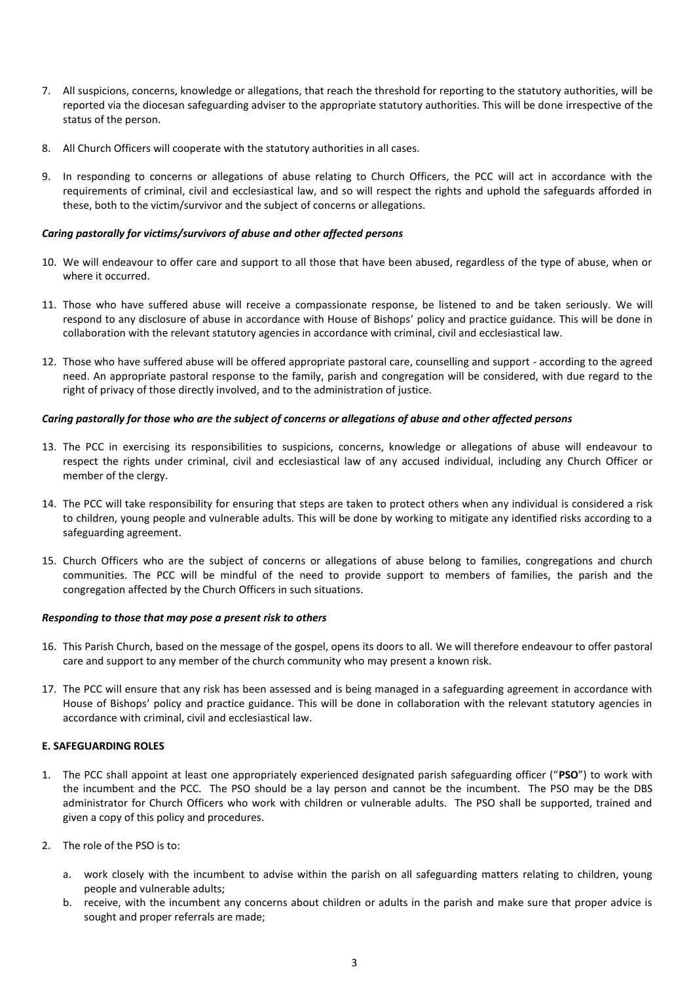- 7. All suspicions, concerns, knowledge or allegations, that reach the threshold for reporting to the statutory authorities, will be reported via the diocesan safeguarding adviser to the appropriate statutory authorities. This will be done irrespective of the status of the person.
- 8. All Church Officers will cooperate with the statutory authorities in all cases.
- 9. In responding to concerns or allegations of abuse relating to Church Officers, the PCC will act in accordance with the requirements of criminal, civil and ecclesiastical law, and so will respect the rights and uphold the safeguards afforded in these, both to the victim/survivor and the subject of concerns or allegations.

## *Caring pastorally for victims/survivors of abuse and other affected persons*

- 10. We will endeavour to offer care and support to all those that have been abused, regardless of the type of abuse, when or where it occurred.
- 11. Those who have suffered abuse will receive a compassionate response, be listened to and be taken seriously. We will respond to any disclosure of abuse in accordance with House of Bishops' policy and practice guidance. This will be done in collaboration with the relevant statutory agencies in accordance with criminal, civil and ecclesiastical law.
- 12. Those who have suffered abuse will be offered appropriate pastoral care, counselling and support according to the agreed need. An appropriate pastoral response to the family, parish and congregation will be considered, with due regard to the right of privacy of those directly involved, and to the administration of justice.

## *Caring pastorally for those who are the subject of concerns or allegations of abuse and other affected persons*

- 13. The PCC in exercising its responsibilities to suspicions, concerns, knowledge or allegations of abuse will endeavour to respect the rights under criminal, civil and ecclesiastical law of any accused individual, including any Church Officer or member of the clergy.
- 14. The PCC will take responsibility for ensuring that steps are taken to protect others when any individual is considered a risk to children, young people and vulnerable adults. This will be done by working to mitigate any identified risks according to a safeguarding agreement.
- 15. Church Officers who are the subject of concerns or allegations of abuse belong to families, congregations and church communities. The PCC will be mindful of the need to provide support to members of families, the parish and the congregation affected by the Church Officers in such situations.

## *Responding to those that may pose a present risk to others*

- 16. This Parish Church, based on the message of the gospel, opens its doors to all. We will therefore endeavour to offer pastoral care and support to any member of the church community who may present a known risk.
- 17. The PCC will ensure that any risk has been assessed and is being managed in a safeguarding agreement in accordance with House of Bishops' policy and practice guidance. This will be done in collaboration with the relevant statutory agencies in accordance with criminal, civil and ecclesiastical law.

## **E. SAFEGUARDING ROLES**

- 1. The PCC shall appoint at least one appropriately experienced designated parish safeguarding officer ("**PSO**") to work with the incumbent and the PCC. The PSO should be a lay person and cannot be the incumbent. The PSO may be the DBS administrator for Church Officers who work with children or vulnerable adults. The PSO shall be supported, trained and given a copy of this policy and procedures.
- 2. The role of the PSO is to:
	- a. work closely with the incumbent to advise within the parish on all safeguarding matters relating to children, young people and vulnerable adults;
	- b. receive, with the incumbent any concerns about children or adults in the parish and make sure that proper advice is sought and proper referrals are made;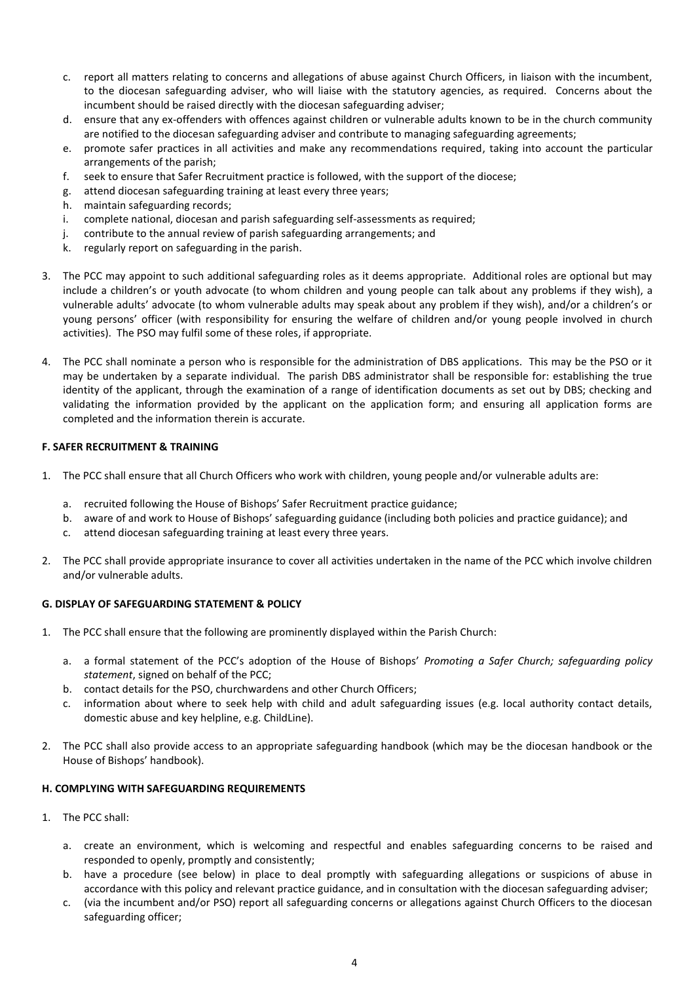- c. report all matters relating to concerns and allegations of abuse against Church Officers, in liaison with the incumbent, to the diocesan safeguarding adviser, who will liaise with the statutory agencies, as required. Concerns about the incumbent should be raised directly with the diocesan safeguarding adviser;
- d. ensure that any ex-offenders with offences against children or vulnerable adults known to be in the church community are notified to the diocesan safeguarding adviser and contribute to managing safeguarding agreements;
- e. promote safer practices in all activities and make any recommendations required, taking into account the particular arrangements of the parish;
- f. seek to ensure that Safer Recruitment practice is followed, with the support of the diocese;
- g. attend diocesan safeguarding training at least every three years;
- h. maintain safeguarding records;
- i. complete national, diocesan and parish safeguarding self-assessments as required;
- j. contribute to the annual review of parish safeguarding arrangements; and
- k. regularly report on safeguarding in the parish.
- 3. The PCC may appoint to such additional safeguarding roles as it deems appropriate. Additional roles are optional but may include a children's or youth advocate (to whom children and young people can talk about any problems if they wish), a vulnerable adults' advocate (to whom vulnerable adults may speak about any problem if they wish), and/or a children's or young persons' officer (with responsibility for ensuring the welfare of children and/or young people involved in church activities). The PSO may fulfil some of these roles, if appropriate.
- 4. The PCC shall nominate a person who is responsible for the administration of DBS applications. This may be the PSO or it may be undertaken by a separate individual. The parish DBS administrator shall be responsible for: establishing the true identity of the applicant, through the examination of a range of identification documents as set out by DBS; checking and validating the information provided by the applicant on the application form; and ensuring all application forms are completed and the information therein is accurate.

## **F. SAFER RECRUITMENT & TRAINING**

- 1. The PCC shall ensure that all Church Officers who work with children, young people and/or vulnerable adults are:
	- a. recruited following the House of Bishops' Safer Recruitment practice guidance;
	- b. aware of and work to House of Bishops' safeguarding guidance (including both policies and practice guidance); and
	- c. attend diocesan safeguarding training at least every three years.
- 2. The PCC shall provide appropriate insurance to cover all activities undertaken in the name of the PCC which involve children and/or vulnerable adults.

## **G. DISPLAY OF SAFEGUARDING STATEMENT & POLICY**

- 1. The PCC shall ensure that the following are prominently displayed within the Parish Church:
	- a. a formal statement of the PCC's adoption of the House of Bishops' *Promoting a Safer Church; safeguarding policy statement*, signed on behalf of the PCC;
	- b. contact details for the PSO, churchwardens and other Church Officers;
	- c. information about where to seek help with child and adult safeguarding issues (e.g. local authority contact details, domestic abuse and key helpline, e.g. ChildLine).
- 2. The PCC shall also provide access to an appropriate safeguarding handbook (which may be the diocesan handbook or the House of Bishops' handbook).

## **H. COMPLYING WITH SAFEGUARDING REQUIREMENTS**

- 1. The PCC shall:
	- a. create an environment, which is welcoming and respectful and enables safeguarding concerns to be raised and responded to openly, promptly and consistently;
	- b. have a procedure (see below) in place to deal promptly with safeguarding allegations or suspicions of abuse in accordance with this policy and relevant practice guidance, and in consultation with the diocesan safeguarding adviser;
	- c. (via the incumbent and/or PSO) report all safeguarding concerns or allegations against Church Officers to the diocesan safeguarding officer;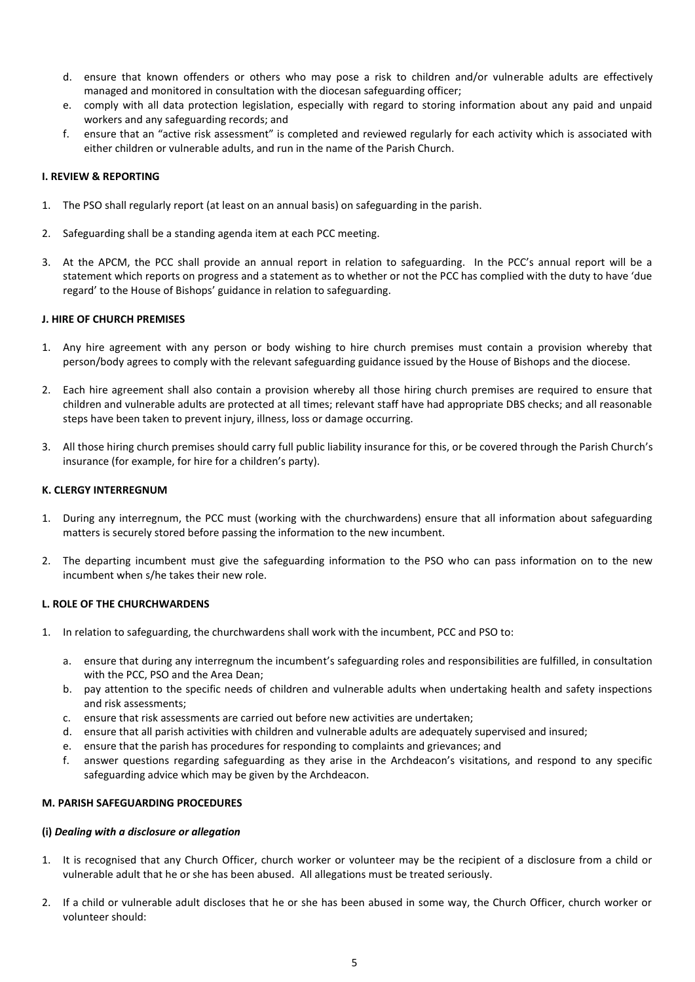- d. ensure that known offenders or others who may pose a risk to children and/or vulnerable adults are effectively managed and monitored in consultation with the diocesan safeguarding officer;
- e. comply with all data protection legislation, especially with regard to storing information about any paid and unpaid workers and any safeguarding records; and
- f. ensure that an "active risk assessment" is completed and reviewed regularly for each activity which is associated with either children or vulnerable adults, and run in the name of the Parish Church.

## **I. REVIEW & REPORTING**

- 1. The PSO shall regularly report (at least on an annual basis) on safeguarding in the parish.
- 2. Safeguarding shall be a standing agenda item at each PCC meeting.
- 3. At the APCM, the PCC shall provide an annual report in relation to safeguarding. In the PCC's annual report will be a statement which reports on progress and a statement as to whether or not the PCC has complied with the duty to have 'due regard' to the House of Bishops' guidance in relation to safeguarding.

#### **J. HIRE OF CHURCH PREMISES**

- 1. Any hire agreement with any person or body wishing to hire church premises must contain a provision whereby that person/body agrees to comply with the relevant safeguarding guidance issued by the House of Bishops and the diocese.
- 2. Each hire agreement shall also contain a provision whereby all those hiring church premises are required to ensure that children and vulnerable adults are protected at all times; relevant staff have had appropriate DBS checks; and all reasonable steps have been taken to prevent injury, illness, loss or damage occurring.
- 3. All those hiring church premises should carry full public liability insurance for this, or be covered through the Parish Church's insurance (for example, for hire for a children's party).

#### **K. CLERGY INTERREGNUM**

- 1. During any interregnum, the PCC must (working with the churchwardens) ensure that all information about safeguarding matters is securely stored before passing the information to the new incumbent.
- 2. The departing incumbent must give the safeguarding information to the PSO who can pass information on to the new incumbent when s/he takes their new role.

#### **L. ROLE OF THE CHURCHWARDENS**

- 1. In relation to safeguarding, the churchwardens shall work with the incumbent, PCC and PSO to:
	- a. ensure that during any interregnum the incumbent's safeguarding roles and responsibilities are fulfilled, in consultation with the PCC, PSO and the Area Dean;
	- b. pay attention to the specific needs of children and vulnerable adults when undertaking health and safety inspections and risk assessments;
	- c. ensure that risk assessments are carried out before new activities are undertaken;
	- d. ensure that all parish activities with children and vulnerable adults are adequately supervised and insured;
	- e. ensure that the parish has procedures for responding to complaints and grievances; and
	- f. answer questions regarding safeguarding as they arise in the Archdeacon's visitations, and respond to any specific safeguarding advice which may be given by the Archdeacon.

#### **M. PARISH SAFEGUARDING PROCEDURES**

#### **(i)** *Dealing with a disclosure or allegation*

- 1. It is recognised that any Church Officer, church worker or volunteer may be the recipient of a disclosure from a child or vulnerable adult that he or she has been abused. All allegations must be treated seriously.
- 2. If a child or vulnerable adult discloses that he or she has been abused in some way, the Church Officer, church worker or volunteer should: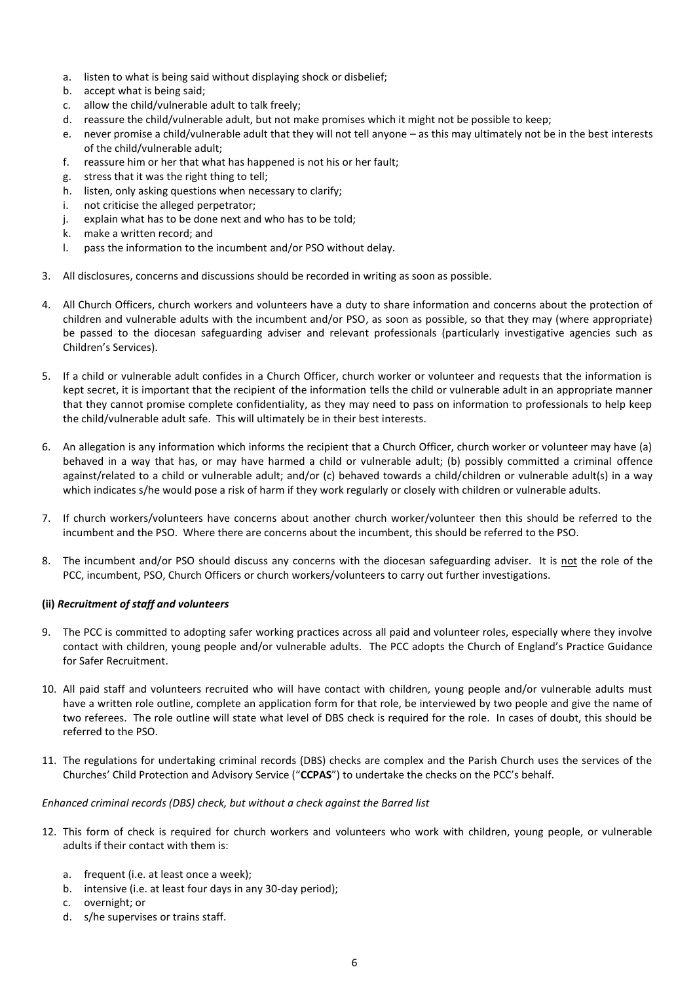- a. listen to what is being said without displaying shock or disbelief;
- b. accept what is being said;
- c. allow the child/vulnerable adult to talk freely;
- d. reassure the child/vulnerable adult, but not make promises which it might not be possible to keep;
- e. never promise a child/vulnerable adult that they will not tell anyone as this may ultimately not be in the best interests of the child/vulnerable adult;
- f. reassure him or her that what has happened is not his or her fault;
- g. stress that it was the right thing to tell;
- h. listen, only asking questions when necessary to clarify;
- i. not criticise the alleged perpetrator;
- j. explain what has to be done next and who has to be told;
- k. make a written record; and
- l. pass the information to the incumbent and/or PSO without delay.
- 3. All disclosures, concerns and discussions should be recorded in writing as soon as possible.
- 4. All Church Officers, church workers and volunteers have a duty to share information and concerns about the protection of children and vulnerable adults with the incumbent and/or PSO, as soon as possible, so that they may (where appropriate) be passed to the diocesan safeguarding adviser and relevant professionals (particularly investigative agencies such as Children's Services).
- 5. If a child or vulnerable adult confides in a Church Officer, church worker or volunteer and requests that the information is kept secret, it is important that the recipient of the information tells the child or vulnerable adult in an appropriate manner that they cannot promise complete confidentiality, as they may need to pass on information to professionals to help keep the child/vulnerable adult safe. This will ultimately be in their best interests.
- 6. An allegation is any information which informs the recipient that a Church Officer, church worker or volunteer may have (a) behaved in a way that has, or may have harmed a child or vulnerable adult; (b) possibly committed a criminal offence against/related to a child or vulnerable adult; and/or (c) behaved towards a child/children or vulnerable adult(s) in a way which indicates s/he would pose a risk of harm if they work regularly or closely with children or vulnerable adults.
- 7. If church workers/volunteers have concerns about another church worker/volunteer then this should be referred to the incumbent and the PSO. Where there are concerns about the incumbent, this should be referred to the PSO.
- 8. The incumbent and/or PSO should discuss any concerns with the diocesan safeguarding adviser. It is not the role of the PCC, incumbent, PSO, Church Officers or church workers/volunteers to carry out further investigations.

## **(ii)** *Recruitment of staff and volunteers*

- 9. The PCC is committed to adopting safer working practices across all paid and volunteer roles, especially where they involve contact with children, young people and/or vulnerable adults. The PCC adopts the Church of England's Practice Guidance for Safer Recruitment.
- 10. All paid staff and volunteers recruited who will have contact with children, young people and/or vulnerable adults must have a written role outline, complete an application form for that role, be interviewed by two people and give the name of two referees. The role outline will state what level of DBS check is required for the role. In cases of doubt, this should be referred to the PSO.
- 11. The regulations for undertaking criminal records (DBS) checks are complex and the Parish Church uses the services of the Churches' Child Protection and Advisory Service ("**CCPAS**") to undertake the checks on the PCC's behalf.

## *Enhanced criminal records (DBS) check, but without a check against the Barred list*

- 12. This form of check is required for church workers and volunteers who work with children, young people, or vulnerable adults if their contact with them is:
	- a. frequent (i.e. at least once a week);
	- b. intensive (i.e. at least four days in any 30-day period);
	- c. overnight; or
	- d. s/he supervises or trains staff.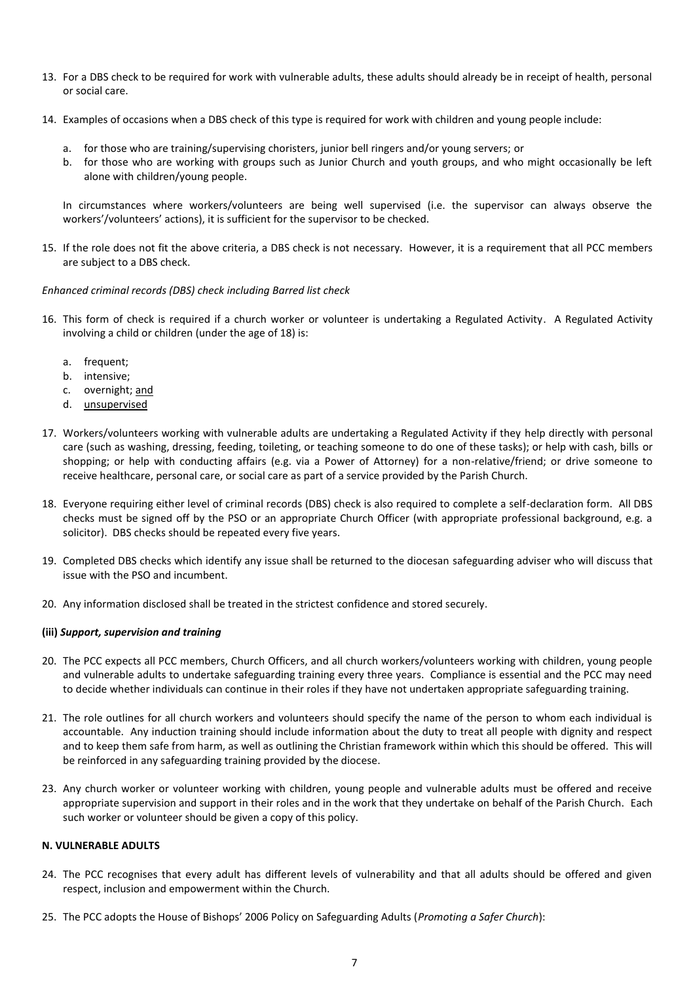- 13. For a DBS check to be required for work with vulnerable adults, these adults should already be in receipt of health, personal or social care.
- 14. Examples of occasions when a DBS check of this type is required for work with children and young people include:
	- a. for those who are training/supervising choristers, junior bell ringers and/or young servers; or
	- b. for those who are working with groups such as Junior Church and youth groups, and who might occasionally be left alone with children/young people.

In circumstances where workers/volunteers are being well supervised (i.e. the supervisor can always observe the workers'/volunteers' actions), it is sufficient for the supervisor to be checked.

15. If the role does not fit the above criteria, a DBS check is not necessary. However, it is a requirement that all PCC members are subject to a DBS check.

## *Enhanced criminal records (DBS) check including Barred list check*

- 16. This form of check is required if a church worker or volunteer is undertaking a Regulated Activity. A Regulated Activity involving a child or children (under the age of 18) is:
	- a. frequent;
	- b. intensive;
	- c. overnight; and
	- d. unsupervised
- 17. Workers/volunteers working with vulnerable adults are undertaking a Regulated Activity if they help directly with personal care (such as washing, dressing, feeding, toileting, or teaching someone to do one of these tasks); or help with cash, bills or shopping; or help with conducting affairs (e.g. via a Power of Attorney) for a non-relative/friend; or drive someone to receive healthcare, personal care, or social care as part of a service provided by the Parish Church.
- 18. Everyone requiring either level of criminal records (DBS) check is also required to complete a self-declaration form. All DBS checks must be signed off by the PSO or an appropriate Church Officer (with appropriate professional background, e.g. a solicitor). DBS checks should be repeated every five years.
- 19. Completed DBS checks which identify any issue shall be returned to the diocesan safeguarding adviser who will discuss that issue with the PSO and incumbent.
- 20. Any information disclosed shall be treated in the strictest confidence and stored securely.

#### **(iii)** *Support, supervision and training*

- 20. The PCC expects all PCC members, Church Officers, and all church workers/volunteers working with children, young people and vulnerable adults to undertake safeguarding training every three years. Compliance is essential and the PCC may need to decide whether individuals can continue in their roles if they have not undertaken appropriate safeguarding training.
- 21. The role outlines for all church workers and volunteers should specify the name of the person to whom each individual is accountable. Any induction training should include information about the duty to treat all people with dignity and respect and to keep them safe from harm, as well as outlining the Christian framework within which this should be offered. This will be reinforced in any safeguarding training provided by the diocese.
- 23. Any church worker or volunteer working with children, young people and vulnerable adults must be offered and receive appropriate supervision and support in their roles and in the work that they undertake on behalf of the Parish Church. Each such worker or volunteer should be given a copy of this policy.

## **N. VULNERABLE ADULTS**

- 24. The PCC recognises that every adult has different levels of vulnerability and that all adults should be offered and given respect, inclusion and empowerment within the Church.
- 25. The PCC adopts the House of Bishops' 2006 Policy on Safeguarding Adults (*Promoting a Safer Church*):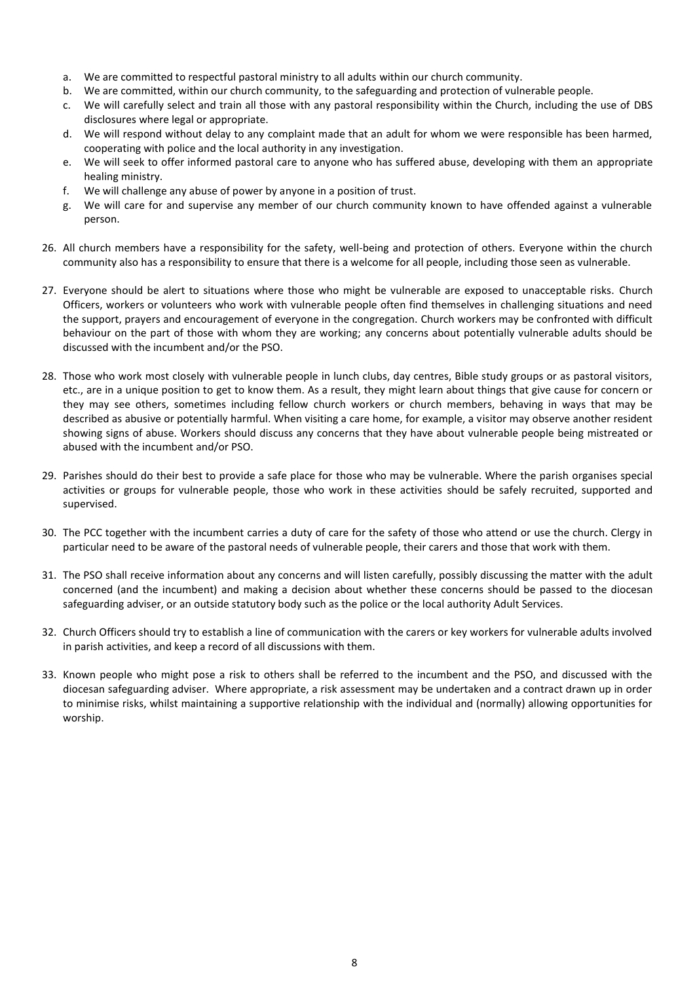- a. We are committed to respectful pastoral ministry to all adults within our church community.
- b. We are committed, within our church community, to the safeguarding and protection of vulnerable people.
- c. We will carefully select and train all those with any pastoral responsibility within the Church, including the use of DBS disclosures where legal or appropriate.
- d. We will respond without delay to any complaint made that an adult for whom we were responsible has been harmed, cooperating with police and the local authority in any investigation.
- e. We will seek to offer informed pastoral care to anyone who has suffered abuse, developing with them an appropriate healing ministry.
- f. We will challenge any abuse of power by anyone in a position of trust.
- g. We will care for and supervise any member of our church community known to have offended against a vulnerable person.
- 26. All church members have a responsibility for the safety, well-being and protection of others. Everyone within the church community also has a responsibility to ensure that there is a welcome for all people, including those seen as vulnerable.
- 27. Everyone should be alert to situations where those who might be vulnerable are exposed to unacceptable risks. Church Officers, workers or volunteers who work with vulnerable people often find themselves in challenging situations and need the support, prayers and encouragement of everyone in the congregation. Church workers may be confronted with difficult behaviour on the part of those with whom they are working; any concerns about potentially vulnerable adults should be discussed with the incumbent and/or the PSO.
- 28. Those who work most closely with vulnerable people in lunch clubs, day centres, Bible study groups or as pastoral visitors, etc., are in a unique position to get to know them. As a result, they might learn about things that give cause for concern or they may see others, sometimes including fellow church workers or church members, behaving in ways that may be described as abusive or potentially harmful. When visiting a care home, for example, a visitor may observe another resident showing signs of abuse. Workers should discuss any concerns that they have about vulnerable people being mistreated or abused with the incumbent and/or PSO.
- 29. Parishes should do their best to provide a safe place for those who may be vulnerable. Where the parish organises special activities or groups for vulnerable people, those who work in these activities should be safely recruited, supported and supervised.
- 30. The PCC together with the incumbent carries a duty of care for the safety of those who attend or use the church. Clergy in particular need to be aware of the pastoral needs of vulnerable people, their carers and those that work with them.
- 31. The PSO shall receive information about any concerns and will listen carefully, possibly discussing the matter with the adult concerned (and the incumbent) and making a decision about whether these concerns should be passed to the diocesan safeguarding adviser, or an outside statutory body such as the police or the local authority Adult Services.
- 32. Church Officers should try to establish a line of communication with the carers or key workers for vulnerable adults involved in parish activities, and keep a record of all discussions with them.
- 33. Known people who might pose a risk to others shall be referred to the incumbent and the PSO, and discussed with the diocesan safeguarding adviser. Where appropriate, a risk assessment may be undertaken and a contract drawn up in order to minimise risks, whilst maintaining a supportive relationship with the individual and (normally) allowing opportunities for worship.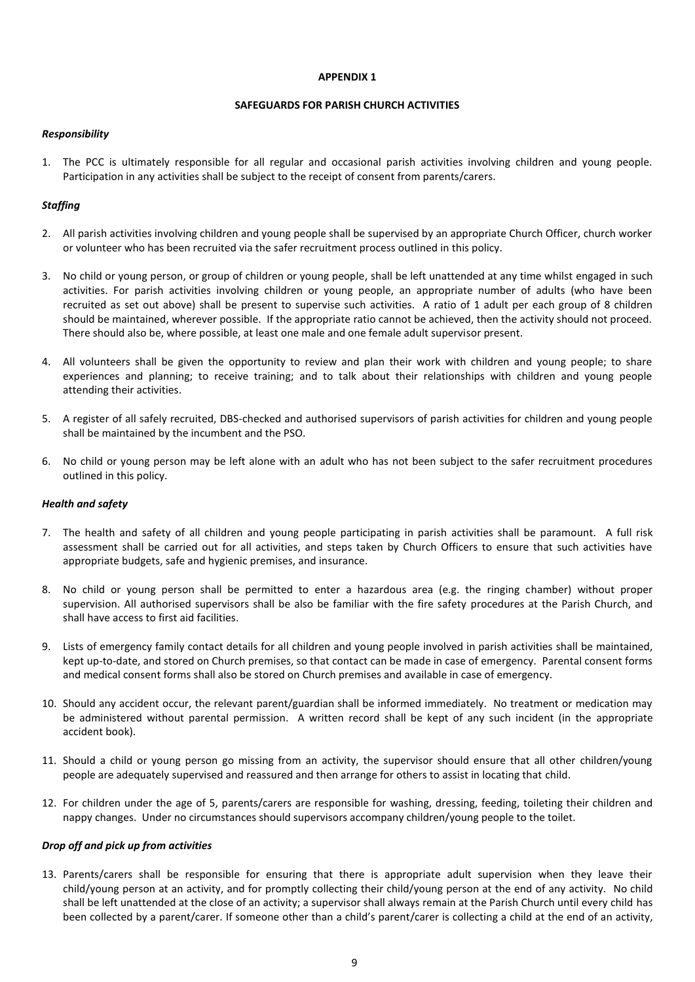#### **APPENDIX 1**

#### **SAFEGUARDS FOR PARISH CHURCH ACTIVITIES**

#### *Responsibility*

1. The PCC is ultimately responsible for all regular and occasional parish activities involving children and young people. Participation in any activities shall be subject to the receipt of consent from parents/carers.

## *Staffing*

- 2. All parish activities involving children and young people shall be supervised by an appropriate Church Officer, church worker or volunteer who has been recruited via the safer recruitment process outlined in this policy.
- 3. No child or young person, or group of children or young people, shall be left unattended at any time whilst engaged in such activities. For parish activities involving children or young people, an appropriate number of adults (who have been recruited as set out above) shall be present to supervise such activities. A ratio of 1 adult per each group of 8 children should be maintained, wherever possible. If the appropriate ratio cannot be achieved, then the activity should not proceed. There should also be, where possible, at least one male and one female adult supervisor present.
- 4. All volunteers shall be given the opportunity to review and plan their work with children and young people; to share experiences and planning; to receive training; and to talk about their relationships with children and young people attending their activities.
- 5. A register of all safely recruited, DBS-checked and authorised supervisors of parish activities for children and young people shall be maintained by the incumbent and the PSO.
- 6. No child or young person may be left alone with an adult who has not been subject to the safer recruitment procedures outlined in this policy.

## *Health and safety*

- 7. The health and safety of all children and young people participating in parish activities shall be paramount. A full risk assessment shall be carried out for all activities, and steps taken by Church Officers to ensure that such activities have appropriate budgets, safe and hygienic premises, and insurance.
- 8. No child or young person shall be permitted to enter a hazardous area (e.g. the ringing chamber) without proper supervision. All authorised supervisors shall be also be familiar with the fire safety procedures at the Parish Church, and shall have access to first aid facilities.
- 9. Lists of emergency family contact details for all children and young people involved in parish activities shall be maintained, kept up-to-date, and stored on Church premises, so that contact can be made in case of emergency. Parental consent forms and medical consent forms shall also be stored on Church premises and available in case of emergency.
- 10. Should any accident occur, the relevant parent/guardian shall be informed immediately. No treatment or medication may be administered without parental permission. A written record shall be kept of any such incident (in the appropriate accident book).
- 11. Should a child or young person go missing from an activity, the supervisor should ensure that all other children/young people are adequately supervised and reassured and then arrange for others to assist in locating that child.
- 12. For children under the age of 5, parents/carers are responsible for washing, dressing, feeding, toileting their children and nappy changes. Under no circumstances should supervisors accompany children/young people to the toilet.

## *Drop off and pick up from activities*

13. Parents/carers shall be responsible for ensuring that there is appropriate adult supervision when they leave their child/young person at an activity, and for promptly collecting their child/young person at the end of any activity. No child shall be left unattended at the close of an activity; a supervisor shall always remain at the Parish Church until every child has been collected by a parent/carer. If someone other than a child's parent/carer is collecting a child at the end of an activity,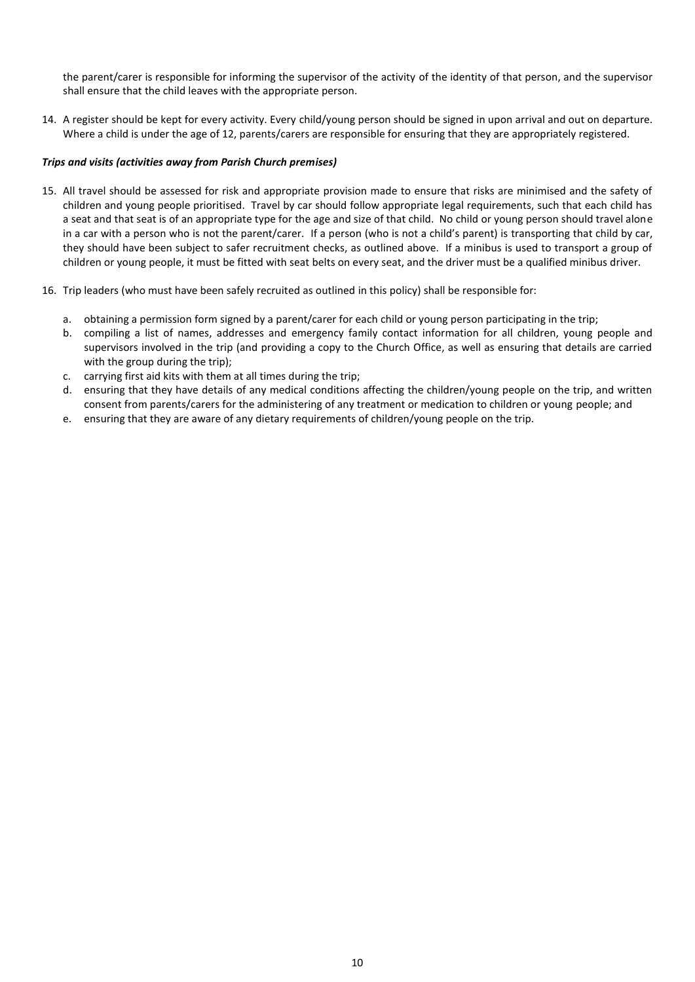the parent/carer is responsible for informing the supervisor of the activity of the identity of that person, and the supervisor shall ensure that the child leaves with the appropriate person.

14. A register should be kept for every activity. Every child/young person should be signed in upon arrival and out on departure. Where a child is under the age of 12, parents/carers are responsible for ensuring that they are appropriately registered.

## *Trips and visits (activities away from Parish Church premises)*

- 15. All travel should be assessed for risk and appropriate provision made to ensure that risks are minimised and the safety of children and young people prioritised. Travel by car should follow appropriate legal requirements, such that each child has a seat and that seat is of an appropriate type for the age and size of that child. No child or young person should travel alone in a car with a person who is not the parent/carer. If a person (who is not a child's parent) is transporting that child by car, they should have been subject to safer recruitment checks, as outlined above. If a minibus is used to transport a group of children or young people, it must be fitted with seat belts on every seat, and the driver must be a qualified minibus driver.
- 16. Trip leaders (who must have been safely recruited as outlined in this policy) shall be responsible for:
	- a. obtaining a permission form signed by a parent/carer for each child or young person participating in the trip;
	- b. compiling a list of names, addresses and emergency family contact information for all children, young people and supervisors involved in the trip (and providing a copy to the Church Office, as well as ensuring that details are carried with the group during the trip);
	- c. carrying first aid kits with them at all times during the trip;
	- d. ensuring that they have details of any medical conditions affecting the children/young people on the trip, and written consent from parents/carers for the administering of any treatment or medication to children or young people; and
	- e. ensuring that they are aware of any dietary requirements of children/young people on the trip.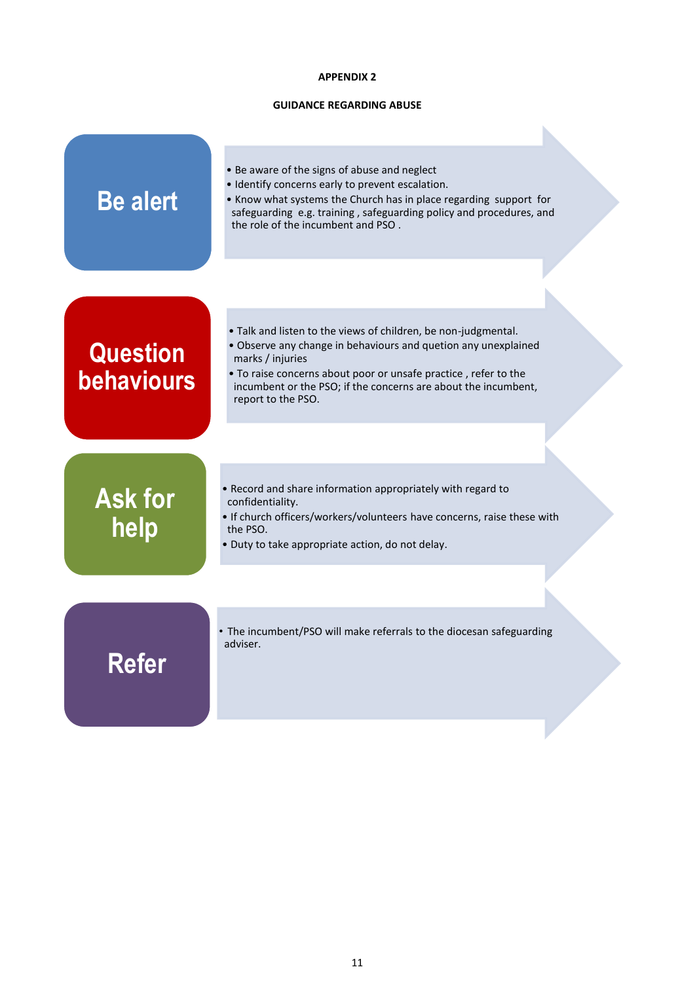#### **APPENDIX 2**

#### **GUIDANCE REGARDING ABUSE**

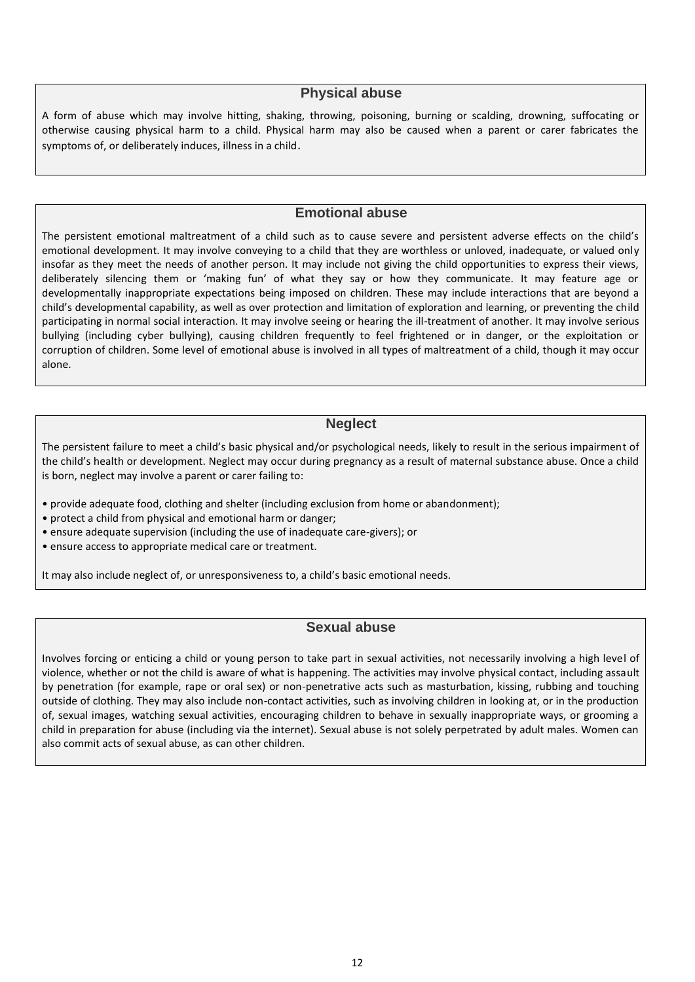#### **Physical abuse**

A form of abuse which may involve hitting, shaking, throwing, poisoning, burning or scalding, drowning, suffocating or otherwise causing physical harm to a child. Physical harm may also be caused when a parent or carer fabricates the symptoms of, or deliberately induces, illness in a child.

# **Emotional abuse**

The persistent emotional maltreatment of a child such as to cause severe and persistent adverse effects on the child's emotional development. It may involve conveying to a child that they are worthless or unloved, inadequate, or valued only insofar as they meet the needs of another person. It may include not giving the child opportunities to express their views, deliberately silencing them or 'making fun' of what they say or how they communicate. It may feature age or developmentally inappropriate expectations being imposed on children. These may include interactions that are beyond a child's developmental capability, as well as over protection and limitation of exploration and learning, or preventing the child participating in normal social interaction. It may involve seeing or hearing the ill-treatment of another. It may involve serious bullying (including cyber bullying), causing children frequently to feel frightened or in danger, or the exploitation or corruption of children. Some level of emotional abuse is involved in all types of maltreatment of a child, though it may occur alone.

#### **Neglect**

The persistent failure to meet a child's basic physical and/or psychological needs, likely to result in the serious impairment of the child's health or development. Neglect may occur during pregnancy as a result of maternal substance abuse. Once a child is born, neglect may involve a parent or carer failing to:

• provide adequate food, clothing and shelter (including exclusion from home or abandonment);

- protect a child from physical and emotional harm or danger;
- ensure adequate supervision (including the use of inadequate care-givers); or
- ensure access to appropriate medical care or treatment.

It may also include neglect of, or unresponsiveness to, a child's basic emotional needs.

## **Sexual abuse**

Involves forcing or enticing a child or young person to take part in sexual activities, not necessarily involving a high level of violence, whether or not the child is aware of what is happening. The activities may involve physical contact, including assault by penetration (for example, rape or oral sex) or non-penetrative acts such as masturbation, kissing, rubbing and touching outside of clothing. They may also include non-contact activities, such as involving children in looking at, or in the production of, sexual images, watching sexual activities, encouraging children to behave in sexually inappropriate ways, or grooming a child in preparation for abuse (including via the internet). Sexual abuse is not solely perpetrated by adult males. Women can also commit acts of sexual abuse, as can other children.